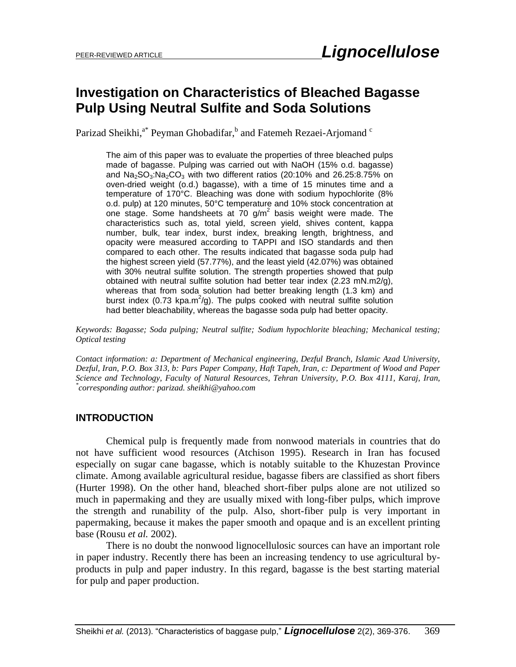# **Investigation on Characteristics of Bleached Bagasse Pulp Using Neutral Sulfite and Soda Solutions**

Parizad Sheikhi,<sup>a\*</sup> Peyman Ghobadifar,<sup>b</sup> and Fatemeh Rezaei-Arjomand <sup>c</sup>

The aim of this paper was to evaluate the properties of three bleached pulps made of bagasse. Pulping was carried out with NaOH (15% o.d. bagasse) and  $Na<sub>2</sub>SO<sub>3</sub>:Na<sub>2</sub>CO<sub>3</sub>$  with two different ratios (20:10% and 26.25:8.75% on oven-dried weight (o.d.) bagasse), with a time of 15 minutes time and a temperature of 170°C. Bleaching was done with sodium hypochlorite (8% o.d. pulp) at 120 minutes, 50°C temperature and 10% stock concentration at one stage. Some handsheets at 70 g/m<sup>2</sup> basis weight were made. The characteristics such as, total yield, screen yield, shives content, kappa number, bulk, tear index, burst index, breaking length, brightness, and opacity were measured according to TAPPI and ISO standards and then compared to each other. The results indicated that bagasse soda pulp had the highest screen yield (57.77%), and the least yield (42.07%) was obtained with 30% neutral sulfite solution. The strength properties showed that pulp obtained with neutral sulfite solution had better tear index (2.23 mN.m2/g), whereas that from soda solution had better breaking length (1.3 km) and burst index (0.73 kpa.m<sup>2</sup>/g). The pulps cooked with neutral sulfite solution had better bleachability, whereas the bagasse soda pulp had better opacity.

*Keywords: Bagasse; Soda pulping; Neutral sulfite; Sodium hypochlorite bleaching; Mechanical testing; Optical testing*

*Contact information: a: Department of Mechanical engineering, Dezful Branch, Islamic Azad University, Dezful, Iran, P.O. Box 313, b: Pars Paper Company, Haft Tapeh, Iran, c: Department of Wood and Paper Science and Technology, Faculty of Natural Resources, Tehran University, P.O. Box 4111, Karaj, Iran, \* corresponding author: parizad. [sheikhi@yahoo.com](mailto:sheikhi.parizad@yahoo.com)*

#### **INTRODUCTION**

Chemical pulp is frequently made from nonwood materials in countries that do not have sufficient wood resources (Atchison 1995). Research in Iran has focused especially on sugar cane bagasse, which is notably suitable to the Khuzestan Province climate. Among available agricultural residue, bagasse fibers are classified as short fibers (Hurter 1998). On the other hand, bleached short-fiber pulps alone are not utilized so much in papermaking and they are usually mixed with long-fiber pulps, which improve the strength and runability of the pulp. Also, short-fiber pulp is very important in papermaking, because it makes the paper smooth and opaque and is an excellent printing base (Rousu *et al.* 2002).

There is no doubt the nonwood lignocellulosic sources can have an important role in paper industry. Recently there has been an increasing tendency to use agricultural byproducts in pulp and paper industry. In this regard, bagasse is the best starting material for pulp and paper production.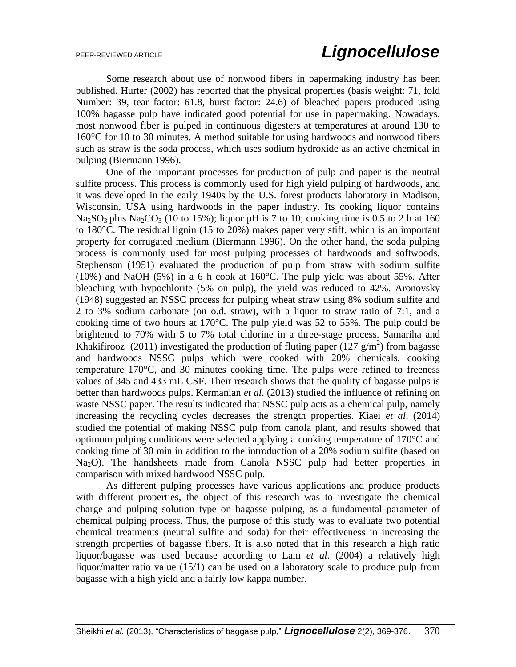Some research about use of nonwood fibers in papermaking industry has been published. Hurter (2002) has reported that the physical properties (basis weight: 71, fold Number: 39, tear factor: 61.8, burst factor: 24.6) of bleached papers produced using 100% bagasse pulp have indicated good potential for use in papermaking. Nowadays, most nonwood fiber is pulped in continuous digesters at temperatures at around 130 to 160°C for 10 to 30 minutes. A method suitable for using hardwoods and nonwood fibers such as straw is the soda process, which uses sodium hydroxide as an active chemical in pulping (Biermann 1996).

One of the important processes for production of pulp and paper is the neutral sulfite process. This process is commonly used for high yield pulping of hardwoods, and it was developed in the early 1940s by the U.S. forest products laboratory in Madison, Wisconsin, USA using hardwoods in the paper industry. Its cooking liquor contains  $Na<sub>2</sub>SO<sub>3</sub>$  plus Na<sub>2</sub>CO<sub>3</sub> (10 to 15%); liquor pH is 7 to 10; cooking time is 0.5 to 2 h at 160 to 180°C. The residual lignin (15 to 20%) makes paper very stiff, which is an important property for corrugated medium (Biermann 1996). On the other hand, the soda pulping process is commonly used for most pulping processes of hardwoods and softwoods. Stephenson (1951) evaluated the production of pulp from straw with sodium sulfite (10%) and NaOH (5%) in a 6 h cook at 160°C. The pulp yield was about 55%. After bleaching with hypochlorite (5% on pulp), the yield was reduced to 42%. Aronovsky (1948) suggested an NSSC process for pulping wheat straw using 8% sodium sulfite and 2 to 3% sodium carbonate (on o.d. straw), with a liquor to straw ratio of 7:1, and a cooking time of two hours at 170°C. The pulp yield was 52 to 55%. The pulp could be brightened to 70% with 5 to 7% total chlorine in a three-stage process. Samariha and Khakifirooz (2011) investigated the production of fluting paper ( $127$  g/m<sup>2</sup>) from bagasse and hardwoods NSSC pulps which were cooked with 20% chemicals, cooking temperature 170°C, and 30 minutes cooking time. The pulps were refined to freeness values of 345 and 433 mL CSF. Their research shows that the quality of bagasse pulps is better than hardwoods pulps. Kermanian *et al*. (2013) studied the influence of refining on waste NSSC paper. The results indicated that NSSC pulp acts as a chemical pulp, namely increasing the recycling cycles decreases the strength properties. Kiaei *et al*. (2014) studied the potential of making NSSC pulp from canola plant, and results showed that optimum pulping conditions were selected applying a cooking temperature of 170°C and cooking time of 30 min in addition to the introduction of a 20% sodium sulfite (based on Na<sub>2</sub>O). The handsheets made from Canola NSSC pulp had better properties in comparison with mixed hardwood NSSC pulp.

As different pulping processes have various applications and produce products with different properties, the object of this research was to investigate the chemical charge and pulping solution type on bagasse pulping, as a fundamental parameter of chemical pulping process. Thus, the purpose of this study was to evaluate two potential chemical treatments (neutral sulfite and soda) for their effectiveness in increasing the strength properties of bagasse fibers. It is also noted that in this research a high ratio liquor/bagasse was used because according to Lam *et al*. (2004) a relatively high liquor/matter ratio value (15/1) can be used on a laboratory scale to produce pulp from bagasse with a high yield and a fairly low kappa number.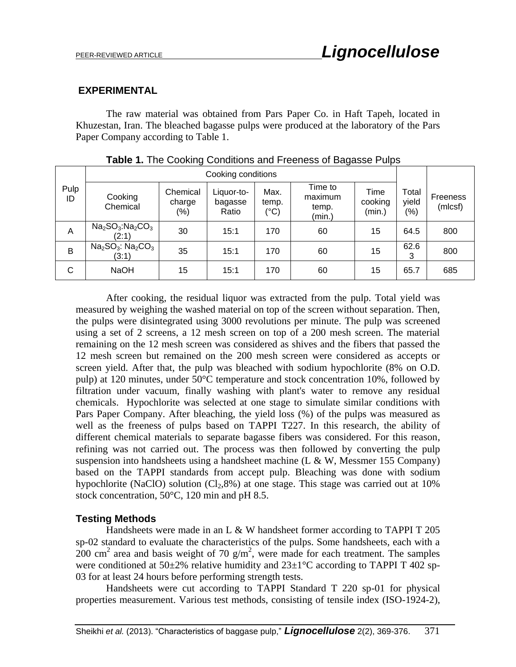### **EXPERIMENTAL**

The raw material was obtained from Pars Paper Co. in Haft Tapeh, located in Khuzestan, Iran. The bleached bagasse pulps were produced at the laboratory of the Pars Paper Company according to Table 1.

|            | Cooking conditions                                 |                               |                                |                       |                                       |                           |                                 |                     |
|------------|----------------------------------------------------|-------------------------------|--------------------------------|-----------------------|---------------------------------------|---------------------------|---------------------------------|---------------------|
| Pulp<br>ID | Cooking<br>Chemical                                | Chemical<br>charge<br>$(\% )$ | Liquor-to-<br>bagasse<br>Ratio | Max.<br>temp.<br>(°C) | Time to<br>maximum<br>temp.<br>(min.) | Time<br>cooking<br>(min.) | Total<br>yield<br>$\frac{1}{2}$ | Freeness<br>(mlcsf) |
| A          | $Na2SO3$ :Na <sub>2</sub> CO <sub>3</sub><br>(2:1) | 30                            | 15:1                           | 170                   | 60                                    | 15                        | 64.5                            | 800                 |
| B          | $Na2SO3$ : $Na2CO3$<br>(3:1)                       | 35                            | 15:1                           | 170                   | 60                                    | 15                        | 62.6<br>3                       | 800                 |
| С          | <b>NaOH</b>                                        | 15                            | 15:1                           | 170                   | 60                                    | 15                        | 65.7                            | 685                 |

|  |  | Table 1. The Cooking Conditions and Freeness of Bagasse Pulps |  |  |  |
|--|--|---------------------------------------------------------------|--|--|--|
|  |  |                                                               |  |  |  |

After cooking, the residual liquor was extracted from the pulp. Total yield was measured by weighing the washed material on top of the screen without separation. Then, the pulps were disintegrated using 3000 revolutions per minute. The pulp was screened using a set of 2 screens, a 12 mesh screen on top of a 200 mesh screen. The material remaining on the 12 mesh screen was considered as shives and the fibers that passed the 12 mesh screen but remained on the 200 mesh screen were considered as accepts or screen yield. After that, the pulp was bleached with sodium hypochlorite (8% on O.D. pulp) at 120 minutes, under 50°C temperature and stock concentration 10%, followed by filtration under vacuum, finally washing with plant's water to remove any residual chemicals. Hypochlorite was selected at one stage to simulate similar conditions with Pars Paper Company. After bleaching, the yield loss (%) of the pulps was measured as well as the freeness of pulps based on TAPPI T227. In this research, the ability of different chemical materials to separate bagasse fibers was considered. For this reason, refining was not carried out. The process was then followed by converting the pulp suspension into handsheets using a handsheet machine (L  $\&$  W, Messmer 155 Company) based on the TAPPI standards from accept pulp. Bleaching was done with sodium hypochlorite (NaClO) solution  $\langle Cl_2, 8\% \rangle$  at one stage. This stage was carried out at 10% stock concentration, 50°C, 120 min and pH 8.5.

## **Testing Methods**

Handsheets were made in an L & W handsheet former according to TAPPI T 205 sp-02 standard to evaluate the characteristics of the pulps. Some handsheets, each with a  $200 \text{ cm}^2$  area and basis weight of 70 g/m<sup>2</sup>, were made for each treatment. The samples were conditioned at  $50\pm2\%$  relative humidity and  $23\pm1\degree$ C according to TAPPI T 402 sp-03 for at least 24 hours before performing strength tests.

Handsheets were cut according to TAPPI Standard T 220 sp-01 for physical properties measurement. Various test methods, consisting of tensile index (ISO-1924-2),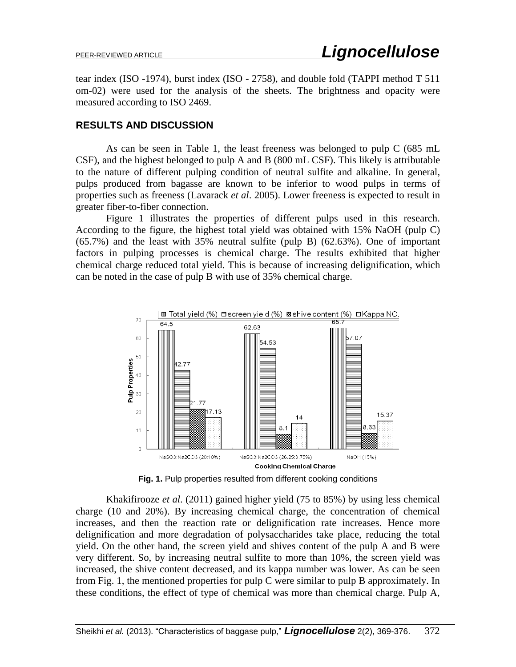tear index (ISO -1974), burst index (ISO - 2758), and double fold (TAPPI method T 511 om-02) were used for the analysis of the sheets. The brightness and opacity were measured according to ISO 2469.

#### **RESULTS AND DISCUSSION**

As can be seen in Table 1, the least freeness was belonged to pulp C (685 mL CSF), and the highest belonged to pulp A and B (800 mL CSF). This likely is attributable to the nature of different pulping condition of neutral sulfite and alkaline. In general, pulps produced from bagasse are known to be inferior to wood pulps in terms of properties such as freeness (Lavarack *et al*. 2005). Lower freeness is expected to result in greater fiber-to-fiber connection.

Figure 1 illustrates the properties of different pulps used in this research. According to the figure, the highest total yield was obtained with 15% NaOH (pulp C) (65.7%) and the least with 35% neutral sulfite (pulp B) (62.63%). One of important factors in pulping processes is chemical charge. The results exhibited that higher chemical charge reduced total yield. This is because of increasing delignification, which can be noted in the case of pulp B with use of 35% chemical charge.



**Fig. 1.** Pulp properties resulted from different cooking conditions

Khakifirooze *et al*. (2011) gained higher yield (75 to 85%) by using less chemical charge (10 and 20%). By increasing chemical charge, the concentration of chemical increases, and then the reaction rate or delignification rate increases. Hence more delignification and more degradation of polysaccharides take place, reducing the total yield. On the other hand, the screen yield and shives content of the pulp A and B were very different. So, by increasing neutral sulfite to more than 10%, the screen yield was increased, the shive content decreased, and its kappa number was lower. As can be seen from Fig. 1, the mentioned properties for pulp C were similar to pulp B approximately. In these conditions, the effect of type of chemical was more than chemical charge. Pulp A,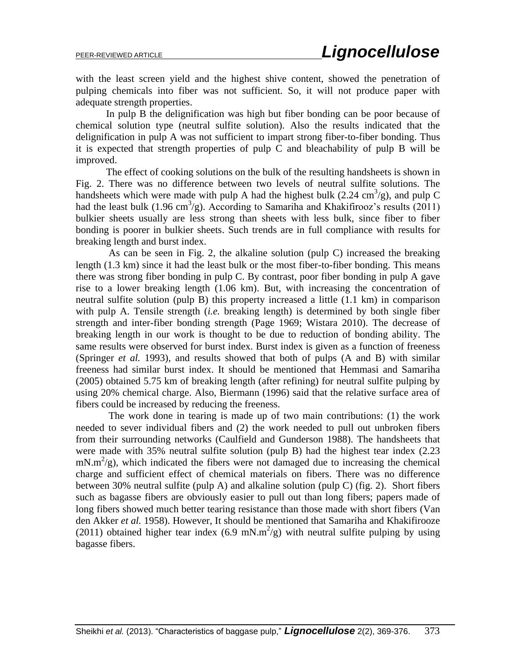with the least screen yield and the highest shive content, showed the penetration of pulping chemicals into fiber was not sufficient. So, it will not produce paper with adequate strength properties.

In pulp B the delignification was high but fiber bonding can be poor because of chemical solution type (neutral sulfite solution). Also the results indicated that the delignification in pulp A was not sufficient to impart strong fiber-to-fiber bonding. Thus it is expected that strength properties of pulp C and bleachability of pulp B will be improved.

The effect of cooking solutions on the bulk of the resulting handsheets is shown in Fig. 2. There was no difference between two levels of neutral sulfite solutions. The handsheets which were made with pulp A had the highest bulk  $(2.24 \text{ cm}^3/\text{g})$ , and pulp C had the least bulk (1.96 cm<sup>3</sup>/g). According to Samariha and Khakifirooz's results (2011) bulkier sheets usually are less strong than sheets with less bulk, since fiber to fiber bonding is poorer in bulkier sheets. Such trends are in full compliance with results for breaking length and burst index.

As can be seen in Fig. 2, the alkaline solution (pulp C) increased the breaking length (1.3 km) since it had the least bulk or the most fiber-to-fiber bonding. This means there was strong fiber bonding in pulp C. By contrast, poor fiber bonding in pulp A gave rise to a lower breaking length (1.06 km). But, with increasing the concentration of neutral sulfite solution (pulp B) this property increased a little (1.1 km) in comparison with pulp A. Tensile strength (*i.e.* breaking length) is determined by both single fiber strength and inter-fiber bonding strength (Page 1969; Wistara 2010). The decrease of breaking length in our work is thought to be due to reduction of bonding ability. The same results were observed for burst index. Burst index is given as a function of freeness (Springer *et al.* 1993), and results showed that both of pulps (A and B) with similar freeness had similar burst index. It should be mentioned that Hemmasi and Samariha (2005) obtained 5.75 km of breaking length (after refining) for neutral sulfite pulping by using 20% chemical charge. Also, Biermann (1996) said that the relative surface area of fibers could be increased by reducing the freeness.

The work done in tearing is made up of two main contributions: (1) the work needed to sever individual fibers and (2) the work needed to pull out unbroken fibers from their surrounding networks (Caulfield and Gunderson 1988). The handsheets that were made with 35% neutral sulfite solution (pulp B) had the highest tear index (2.23  $mN.m^2/g$ ), which indicated the fibers were not damaged due to increasing the chemical charge and sufficient effect of chemical materials on fibers. There was no difference between 30% neutral sulfite (pulp A) and alkaline solution (pulp C) (fig. 2). Short fibers such as bagasse fibers are obviously easier to pull out than long fibers; papers made of long fibers showed much better tearing resistance than those made with short fibers (Van den Akker *et al.* 1958). However, It should be mentioned that Samariha and Khakifirooze (2011) obtained higher tear index (6.9 mN.m<sup>2</sup>/g) with neutral sulfite pulping by using bagasse fibers.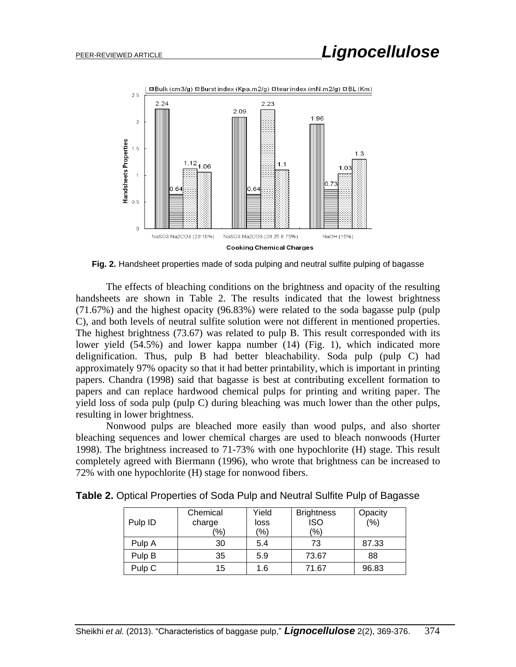

**Fig. 2.** Handsheet properties made of soda pulping and neutral sulfite pulping of bagasse

The effects of bleaching conditions on the brightness and opacity of the resulting handsheets are shown in Table 2. The results indicated that the lowest brightness (71.67%) and the highest opacity (96.83%) were related to the soda bagasse pulp (pulp C), and both levels of neutral sulfite solution were not different in mentioned properties. The highest brightness (73.67) was related to pulp B. This result corresponded with its lower yield (54.5%) and lower kappa number (14) (Fig. 1), which indicated more delignification. Thus, pulp B had better bleachability. Soda pulp (pulp C) had approximately 97% opacity so that it had better printability, which is important in printing papers. Chandra (1998) said that bagasse is best at contributing excellent formation to papers and can replace hardwood chemical pulps for printing and writing paper. The yield loss of soda pulp (pulp C) during bleaching was much lower than the other pulps, resulting in lower brightness.

Nonwood pulps are bleached more easily than wood pulps, and also shorter bleaching sequences and lower chemical charges are used to bleach nonwoods (Hurter 1998). The brightness increased to 71-73% with one hypochlorite (H) stage. This result completely agreed with Biermann (1996), who wrote that brightness can be increased to 72% with one hypochlorite (H) stage for nonwood fibers.

| Table 2. Optical Properties of Soda Pulp and Neutral Sulfite Pulp of Bagasse |  |  |  |  |  |
|------------------------------------------------------------------------------|--|--|--|--|--|
|                                                                              |  |  |  |  |  |

|         | Chemical | Yield | <b>Brightness</b> | Opacity |
|---------|----------|-------|-------------------|---------|
| Pulp ID | charge   | loss  | <b>ISO</b>        | (% )    |
|         | (%)      | (%)   | $\frac{1}{2}$     |         |
| Pulp A  | 30       | 5.4   | 73                | 87.33   |
| Pulp B  | 35       | 5.9   | 73.67             | 88      |
| Pulp C  | 15       | 1.6   | 71.67             | 96.83   |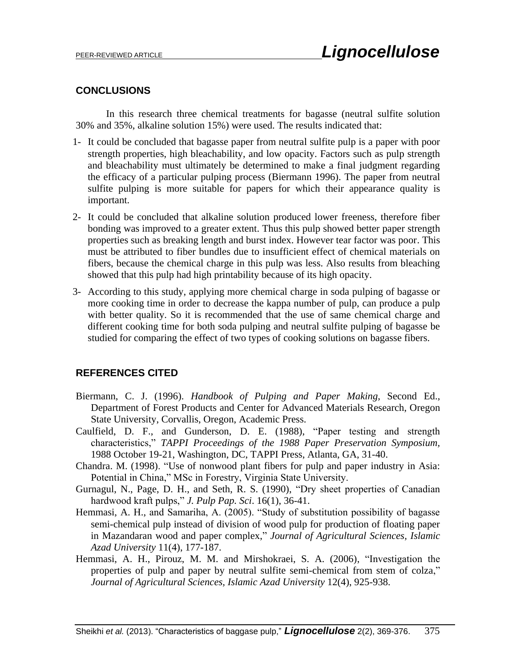## **CONCLUSIONS**

In this research three chemical treatments for bagasse (neutral sulfite solution 30% and 35%, alkaline solution 15%) were used. The results indicated that:

- 1- It could be concluded that bagasse paper from neutral sulfite pulp is a paper with poor strength properties, high bleachability, and low opacity. Factors such as pulp strength and bleachability must ultimately be determined to make a final judgment regarding the efficacy of a particular pulping process (Biermann 1996). The paper from neutral sulfite pulping is more suitable for papers for which their appearance quality is important.
- 2- It could be concluded that alkaline solution produced lower freeness, therefore fiber bonding was improved to a greater extent. Thus this pulp showed better paper strength properties such as breaking length and burst index. However tear factor was poor. This must be attributed to fiber bundles due to insufficient effect of chemical materials on fibers, because the chemical charge in this pulp was less. Also results from bleaching showed that this pulp had high printability because of its high opacity.
- 3- According to this study, applying more chemical charge in soda pulping of bagasse or more cooking time in order to decrease the kappa number of pulp, can produce a pulp with better quality. So it is recommended that the use of same chemical charge and different cooking time for both soda pulping and neutral sulfite pulping of bagasse be studied for comparing the effect of two types of cooking solutions on bagasse fibers.

## **REFERENCES CITED**

- Biermann, C. J. (1996). *Handbook of Pulping and Paper Making*, Second Ed., Department of Forest Products and Center for Advanced Materials Research, Oregon State University, Corvallis, Oregon, Academic Press.
- Caulfield, D. F., and Gunderson, D. E. (1988), "Paper testing and strength characteristics," *TAPPI Proceedings of the 1988 Paper Preservation Symposium,* 1988 October 19-21, Washington, DC, TAPPI Press, Atlanta, GA, 31-40.
- Chandra. M. (1998). "Use of nonwood plant fibers for pulp and paper industry in Asia: Potential in China," MSc in Forestry, Virginia State University.
- Gurnagul, N., Page, D. H., and Seth, R. S. (1990), "Dry sheet properties of Canadian hardwood kraft pulps," *J. Pulp Pap. Sci*. 16(1), 36-41.
- Hemmasi, A. H., and Samariha, A. (2005). "Study of substitution possibility of bagasse semi-chemical pulp instead of division of wood pulp for production of floating paper in Mazandaran wood and paper complex," *Journal of Agricultural Sciences, Islamic Azad University* 11(4), 177-187.
- Hemmasi, A. H., Pirouz, M. M. and Mirshokraei, S. A. (2006), "Investigation the properties of pulp and paper by neutral sulfite semi-chemical from stem of colza," *Journal of Agricultural Sciences, Islamic Azad University* 12(4), 925-938.